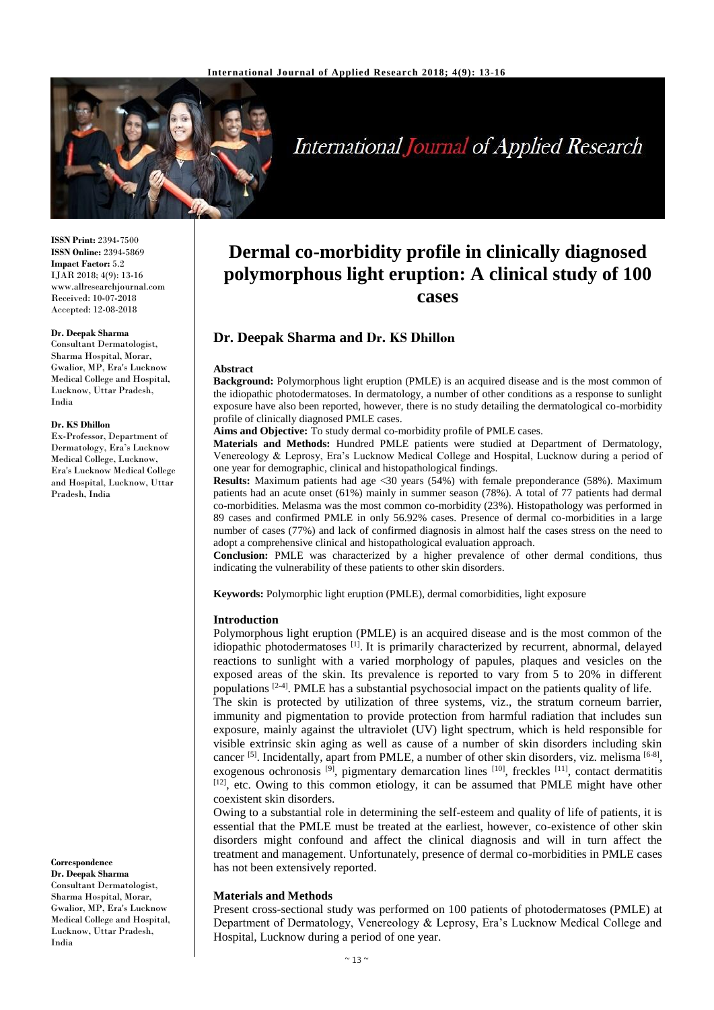

# **International Journal of Applied Research**

**ISSN Print:** 2394-7500 **ISSN Online:** 2394-5869 **Impact Factor:** 5.2 IJAR 2018; 4(9): 13-16 www.allresearchjournal.com Received: 10-07-2018 Accepted: 12-08-2018

#### **Dr. Deepak Sharma**

Consultant Dermatologist, Sharma Hospital, Morar, Gwalior, MP, Era's Lucknow Medical College and Hospital, Lucknow, Uttar Pradesh, India

#### **Dr. KS Dhillon**

Ex-Professor, Department of Dermatology, Era's Lucknow Medical College, Lucknow, Era's Lucknow Medical College and Hospital, Lucknow, Uttar Pradesh, India

**Correspondence**

**Dr. Deepak Sharma** Consultant Dermatologist, Sharma Hospital, Morar, Gwalior, MP, Era's Lucknow Medical College and Hospital, Lucknow, Uttar Pradesh, India

# **Dermal co-morbidity profile in clinically diagnosed polymorphous light eruption: A clinical study of 100 cases**

## **Dr. Deepak Sharma and Dr. KS Dhillon**

#### **Abstract**

**Background:** Polymorphous light eruption (PMLE) is an acquired disease and is the most common of the idiopathic photodermatoses. In dermatology, a number of other conditions as a response to sunlight exposure have also been reported, however, there is no study detailing the dermatological co-morbidity profile of clinically diagnosed PMLE cases.

**Aims and Objective:** To study dermal co-morbidity profile of PMLE cases.

**Materials and Methods:** Hundred PMLE patients were studied at Department of Dermatology, Venereology & Leprosy, Era's Lucknow Medical College and Hospital, Lucknow during a period of one year for demographic, clinical and histopathological findings.

**Results:** Maximum patients had age <30 years (54%) with female preponderance (58%). Maximum patients had an acute onset (61%) mainly in summer season (78%). A total of 77 patients had dermal co-morbidities. Melasma was the most common co-morbidity (23%). Histopathology was performed in 89 cases and confirmed PMLE in only 56.92% cases. Presence of dermal co-morbidities in a large number of cases (77%) and lack of confirmed diagnosis in almost half the cases stress on the need to adopt a comprehensive clinical and histopathological evaluation approach.

**Conclusion:** PMLE was characterized by a higher prevalence of other dermal conditions, thus indicating the vulnerability of these patients to other skin disorders.

**Keywords:** Polymorphic light eruption (PMLE), dermal comorbidities, light exposure

#### **Introduction**

Polymorphous light eruption (PMLE) is an acquired disease and is the most common of the idiopathic photodermatoses [1]. It is primarily characterized by recurrent, abnormal, delayed reactions to sunlight with a varied morphology of papules, plaques and vesicles on the exposed areas of the skin. Its prevalence is reported to vary from 5 to 20% in different populations  $[2-4]$ . PMLE has a substantial psychosocial impact on the patients quality of life.

The skin is protected by utilization of three systems, viz., the stratum corneum barrier, immunity and pigmentation to provide protection from harmful radiation that includes sun exposure, mainly against the ultraviolet (UV) light spectrum, which is held responsible for visible extrinsic skin aging as well as cause of a number of skin disorders including skin cancer<sup>[5]</sup>. Incidentally, apart from PMLE, a number of other skin disorders, viz. melisma<sup>[6-8]</sup>, exogenous ochronosis <sup>[9]</sup>, pigmentary demarcation lines <sup>[10]</sup>, freckles <sup>[11]</sup>, contact dermatitis  $[12]$ , etc. Owing to this common etiology, it can be assumed that PMLE might have other coexistent skin disorders.

Owing to a substantial role in determining the self-esteem and quality of life of patients, it is essential that the PMLE must be treated at the earliest, however, co-existence of other skin disorders might confound and affect the clinical diagnosis and will in turn affect the treatment and management. Unfortunately, presence of dermal co-morbidities in PMLE cases has not been extensively reported.

#### **Materials and Methods**

Present cross-sectional study was performed on 100 patients of photodermatoses (PMLE) at Department of Dermatology, Venereology & Leprosy, Era's Lucknow Medical College and Hospital, Lucknow during a period of one year.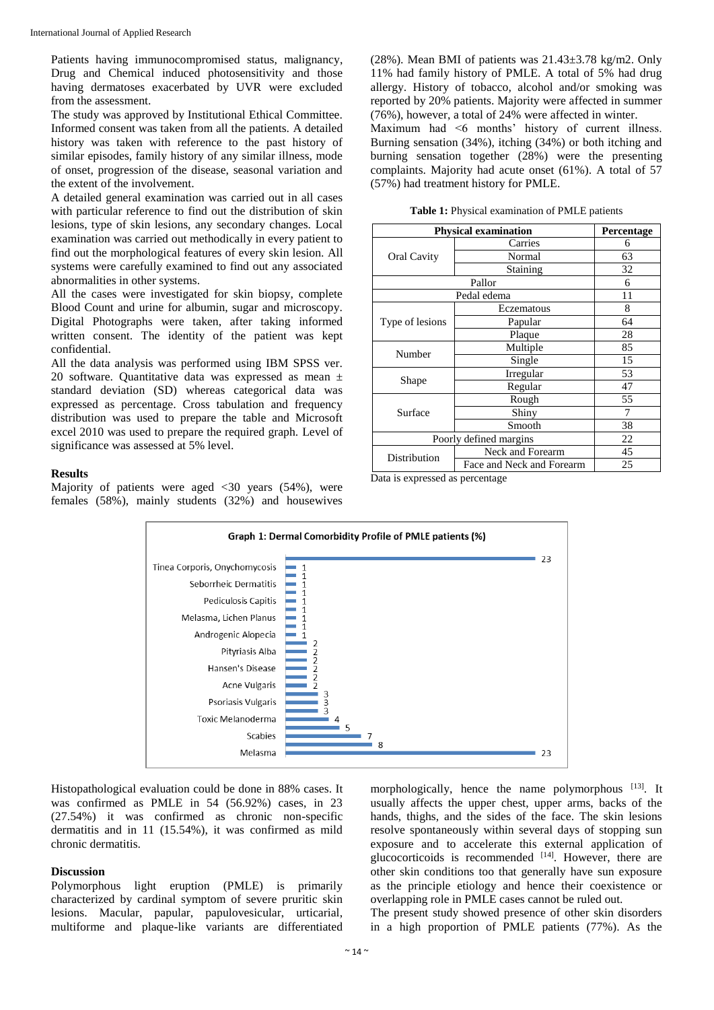Patients having immunocompromised status, malignancy, Drug and Chemical induced photosensitivity and those having dermatoses exacerbated by UVR were excluded from the assessment.

The study was approved by Institutional Ethical Committee. Informed consent was taken from all the patients. A detailed history was taken with reference to the past history of similar episodes, family history of any similar illness, mode of onset, progression of the disease, seasonal variation and the extent of the involvement.

A detailed general examination was carried out in all cases with particular reference to find out the distribution of skin lesions, type of skin lesions, any secondary changes. Local examination was carried out methodically in every patient to find out the morphological features of every skin lesion. All systems were carefully examined to find out any associated abnormalities in other systems.

All the cases were investigated for skin biopsy, complete Blood Count and urine for albumin, sugar and microscopy. Digital Photographs were taken, after taking informed written consent. The identity of the patient was kept confidential.

All the data analysis was performed using IBM SPSS ver. 20 software. Quantitative data was expressed as mean ± standard deviation (SD) whereas categorical data was expressed as percentage. Cross tabulation and frequency distribution was used to prepare the table and Microsoft excel 2010 was used to prepare the required graph. Level of significance was assessed at 5% level.

#### **Results**

Majority of patients were aged  $\langle 30 \rangle$  years (54%), were females (58%), mainly students (32%) and housewives

(28%). Mean BMI of patients was  $21.43\pm3.78$  kg/m2. Only 11% had family history of PMLE. A total of 5% had drug allergy. History of tobacco, alcohol and/or smoking was reported by 20% patients. Majority were affected in summer (76%), however, a total of 24% were affected in winter.

Maximum had <6 months' history of current illness. Burning sensation (34%), itching (34%) or both itching and burning sensation together (28%) were the presenting complaints. Majority had acute onset (61%). A total of 57 (57%) had treatment history for PMLE.

|  |  | Table 1: Physical examination of PMLE patients |  |  |
|--|--|------------------------------------------------|--|--|
|--|--|------------------------------------------------|--|--|

| <b>Physical examination</b> | Percentage                |    |
|-----------------------------|---------------------------|----|
|                             | Carries                   | 6  |
| <b>Oral Cavity</b>          | Normal                    | 63 |
|                             | Staining                  | 32 |
|                             | 6                         |    |
|                             | 11                        |    |
|                             | Eczematous                | 8  |
| Type of lesions             | Papular                   | 64 |
|                             | Plaque                    | 28 |
| Number                      | Multiple                  | 85 |
|                             | Single                    | 15 |
|                             | Irregular                 | 53 |
| Shape                       | Regular                   | 47 |
|                             | Rough                     | 55 |
| Surface                     | Shiny                     | 7  |
|                             | Smooth                    | 38 |
| Poorly defined margins      | 22                        |    |
| Distribution                | Neck and Forearm          | 45 |
|                             | Face and Neck and Forearm | 25 |

Data is expressed as percentage



Histopathological evaluation could be done in 88% cases. It was confirmed as PMLE in 54 (56.92%) cases, in 23 (27.54%) it was confirmed as chronic non-specific dermatitis and in 11 (15.54%), it was confirmed as mild chronic dermatitis.

#### **Discussion**

Polymorphous light eruption (PMLE) is primarily characterized by cardinal symptom of severe pruritic skin lesions. Macular, papular, papulovesicular, urticarial, multiforme and plaque-like variants are differentiated morphologically, hence the name polymorphous [13]. It usually affects the upper chest, upper arms, backs of the hands, thighs, and the sides of the face. The skin lesions resolve spontaneously within several days of stopping sun exposure and to accelerate this external application of glucocorticoids is recommended  $[14]$ . However, there are other skin conditions too that generally have sun exposure as the principle etiology and hence their coexistence or overlapping role in PMLE cases cannot be ruled out.

The present study showed presence of other skin disorders in a high proportion of PMLE patients (77%). As the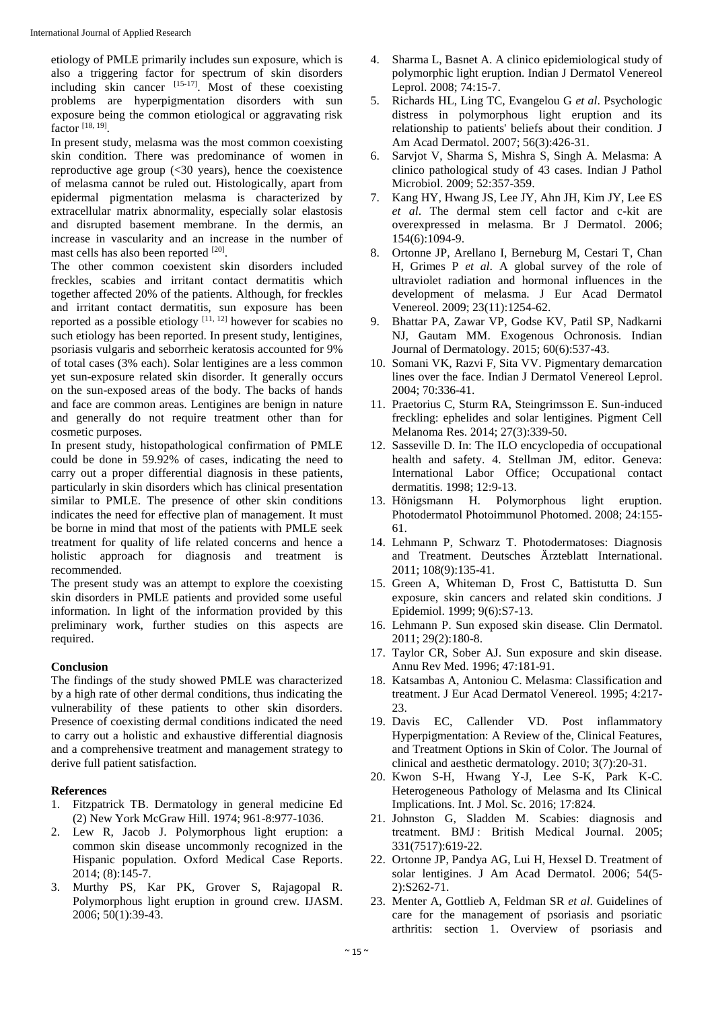etiology of PMLE primarily includes sun exposure, which is also a triggering factor for spectrum of skin disorders including skin cancer  $[15-17]$ . Most of these coexisting problems are hyperpigmentation disorders with sun exposure being the common etiological or aggravating risk factor [18, 19] .

In present study, melasma was the most common coexisting skin condition. There was predominance of women in reproductive age group  $\left( \langle 30 \rangle$  years), hence the coexistence of melasma cannot be ruled out. Histologically, apart from epidermal pigmentation melasma is characterized by extracellular matrix abnormality, especially solar elastosis and disrupted basement membrane. In the dermis, an increase in vascularity and an increase in the number of mast cells has also been reported [20].

The other common coexistent skin disorders included freckles, scabies and irritant contact dermatitis which together affected 20% of the patients. Although, for freckles and irritant contact dermatitis, sun exposure has been reported as a possible etiology [11, 12] however for scabies no such etiology has been reported. In present study, lentigines, psoriasis vulgaris and seborrheic keratosis accounted for 9% of total cases (3% each). Solar lentigines are a less common yet sun-exposure related skin disorder. It generally occurs on the sun-exposed areas of the body. The backs of hands and face are common areas. Lentigines are benign in nature and generally do not require treatment other than for cosmetic purposes.

In present study, histopathological confirmation of PMLE could be done in 59.92% of cases, indicating the need to carry out a proper differential diagnosis in these patients, particularly in skin disorders which has clinical presentation similar to PMLE. The presence of other skin conditions indicates the need for effective plan of management. It must be borne in mind that most of the patients with PMLE seek treatment for quality of life related concerns and hence a holistic approach for diagnosis and treatment is recommended.

The present study was an attempt to explore the coexisting skin disorders in PMLE patients and provided some useful information. In light of the information provided by this preliminary work, further studies on this aspects are required.

### **Conclusion**

The findings of the study showed PMLE was characterized by a high rate of other dermal conditions, thus indicating the vulnerability of these patients to other skin disorders. Presence of coexisting dermal conditions indicated the need to carry out a holistic and exhaustive differential diagnosis and a comprehensive treatment and management strategy to derive full patient satisfaction.

#### **References**

- 1. Fitzpatrick TB. Dermatology in general medicine Ed (2) New York McGraw Hill. 1974; 961-8:977-1036.
- 2. Lew R, Jacob J. Polymorphous light eruption: a common skin disease uncommonly recognized in the Hispanic population. Oxford Medical Case Reports. 2014; (8):145-7.
- 3. Murthy PS, Kar PK, Grover S, Rajagopal R. Polymorphous light eruption in ground crew. IJASM. 2006; 50(1):39-43.
- 4. Sharma L, Basnet A. A clinico epidemiological study of polymorphic light eruption. Indian J Dermatol Venereol Leprol. 2008; 74:15-7.
- 5. Richards HL, Ling TC, Evangelou G *et al*. Psychologic distress in polymorphous light eruption and its relationship to patients' beliefs about their condition. J Am Acad Dermatol. 2007; 56(3):426-31.
- 6. Sarvjot V, Sharma S, Mishra S, Singh A. Melasma: A clinico pathological study of 43 cases. Indian J Pathol Microbiol. 2009; 52:357-359.
- 7. Kang HY, Hwang JS, Lee JY, Ahn JH, Kim JY, Lee ES *et al*. The dermal stem cell factor and c-kit are overexpressed in melasma. Br J Dermatol. 2006; 154(6):1094-9.
- 8. Ortonne JP, Arellano I, Berneburg M, Cestari T, Chan H, Grimes P *et al*. A global survey of the role of ultraviolet radiation and hormonal influences in the development of melasma. J Eur Acad Dermatol Venereol. 2009; 23(11):1254-62.
- 9. Bhattar PA, Zawar VP, Godse KV, Patil SP, Nadkarni NJ, Gautam MM. Exogenous Ochronosis. Indian Journal of Dermatology. 2015; 60(6):537-43.
- 10. Somani VK, Razvi F, Sita VV. Pigmentary demarcation lines over the face. Indian J Dermatol Venereol Leprol. 2004; 70:336-41.
- 11. Praetorius C, Sturm RA, Steingrimsson E. Sun-induced freckling: ephelides and solar lentigines. Pigment Cell Melanoma Res. 2014; 27(3):339-50.
- 12. Sasseville D. In: The ILO encyclopedia of occupational health and safety. 4. Stellman JM, editor. Geneva: International Labor Office; Occupational contact dermatitis. 1998; 12:9-13.
- 13. Hönigsmann H. Polymorphous light eruption. Photodermatol Photoimmunol Photomed. 2008; 24:155- 61.
- 14. Lehmann P, Schwarz T. Photodermatoses: Diagnosis and Treatment. Deutsches Ärzteblatt International. 2011; 108(9):135-41.
- 15. Green A, Whiteman D, Frost C, Battistutta D. Sun exposure, skin cancers and related skin conditions. J Epidemiol. 1999; 9(6):S7-13.
- 16. Lehmann P. Sun exposed skin disease. Clin Dermatol. 2011; 29(2):180-8.
- 17. Taylor CR, Sober AJ. Sun exposure and skin disease. Annu Rev Med. 1996; 47:181-91.
- 18. Katsambas A, Antoniou C. Melasma: Classification and treatment. J Eur Acad Dermatol Venereol. 1995; 4:217- 23.
- 19. Davis EC, Callender VD. Post inflammatory Hyperpigmentation: A Review of the, Clinical Features, and Treatment Options in Skin of Color. The Journal of clinical and aesthetic dermatology. 2010; 3(7):20-31.
- 20. Kwon S-H, Hwang Y-J, Lee S-K, Park K-C. Heterogeneous Pathology of Melasma and Its Clinical Implications. Int. J Mol. Sc. 2016; 17:824.
- 21. Johnston G, Sladden M. Scabies: diagnosis and treatment. BMJ : British Medical Journal. 2005; 331(7517):619-22.
- 22. Ortonne JP, Pandya AG, Lui H, Hexsel D. Treatment of solar lentigines. J Am Acad Dermatol. 2006; 54(5- 2):S262-71.
- 23. Menter A, Gottlieb A, Feldman SR *et al*. Guidelines of care for the management of psoriasis and psoriatic arthritis: section 1. Overview of psoriasis and